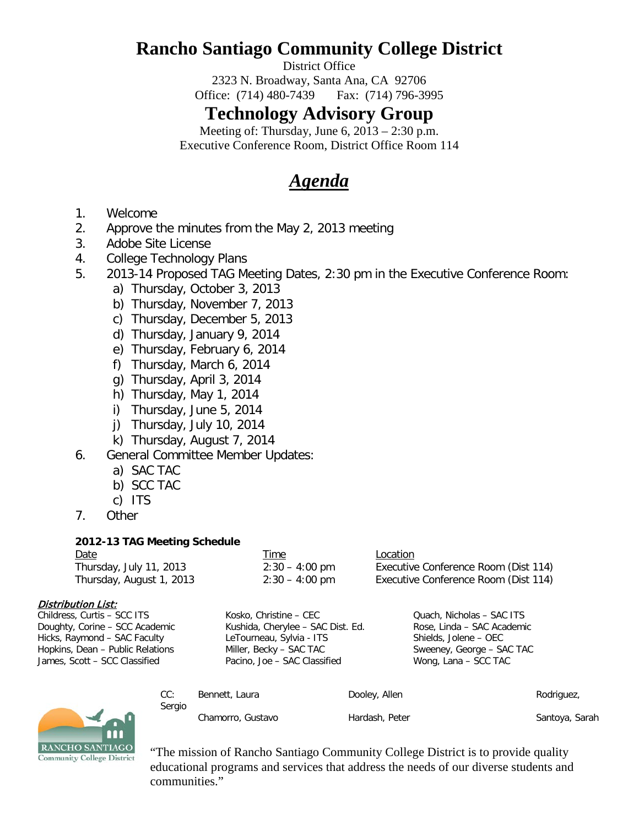# **Rancho Santiago Community College District**

District Office

2323 N. Broadway, Santa Ana, CA 92706 Office: (714) 480-7439 Fax: (714) 796-3995

### **Technology Advisory Group**

Meeting of: Thursday, June 6, 2013 – 2:30 p.m. Executive Conference Room, District Office Room 114

## *Agenda*

- 1. Welcome
- 2. Approve the minutes from the May 2, 2013 meeting
- 3. Adobe Site License
- 4. College Technology Plans
- 5. 2013-14 Proposed TAG Meeting Dates, 2:30 pm in the Executive Conference Room:
	- a) Thursday, October 3, 2013
	- b) Thursday, November 7, 2013
	- c) Thursday, December 5, 2013
	- d) Thursday, January 9, 2014
	- e) Thursday, February 6, 2014
	- f) Thursday, March 6, 2014
	- g) Thursday, April 3, 2014
	- h) Thursday, May 1, 2014
	- i) Thursday, June 5, 2014
	- j) Thursday, July 10, 2014
	- k) Thursday, August 7, 2014
- 6. General Committee Member Updates:
	- a) SAC TAC
	- b) SCC TAC
	- c) ITS
- 7. Other

#### **2012-13 TAG Meeting Schedule**

Sergio

| Date                     | <u>Time</u>              | <b>Location</b>                      |
|--------------------------|--------------------------|--------------------------------------|
| Thursday, July 11, 2013  | $2:30 - 4:00 \text{ pm}$ | Executive Conference Room (Dist 114) |
| Thursday, August 1, 2013 | $2:30 - 4:00 \text{ pm}$ | Executive Conference Room (Dist 114) |

#### Distribution List:

| Childress, Curtis - SCC ITS      |
|----------------------------------|
| Doughty, Corine - SCC Academic   |
| Hicks, Raymond - SAC Faculty     |
| Hopkins, Dean - Public Relations |
| James, Scott - SCC Classified    |

LeTourneau, Sylvia - ITS Shields, Jolene – OEC Miller, Becky – SAC TAC TAC Sweeney, George – SAC TAC Pacino, Joe – SAC Classified Wong, Lana – SCC TAC

Kosko, Christine – CEC Cuach, Nicholas – SAC ITS Kushida, Cherylee – SAC Dist. Ed. Rose, Linda – SAC Academic



"The mission of Rancho Santiago Community College District is to provide quality educational programs and services that address the needs of our diverse students and communities."

CC: Bennett, Laura **Dooley, Allen** Rodriguez, Rodriguez,

Chamorro, Gustavo Hardash, Peter Santoya, Sarah